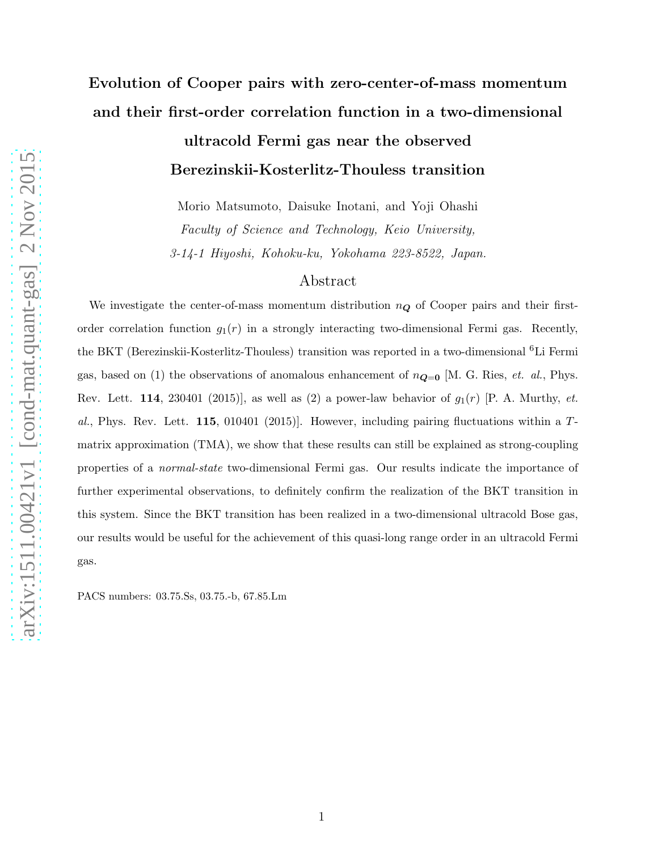# Evolution of Cooper pairs with zero-center-of-mass momentum and their first-order correlation function in a two-dimensional

# ultracold Fermi gas near the observed Berezinskii-Kosterlitz-Thouless transition

Morio Matsumoto, Daisuke Inotani, and Yoji Ohashi Faculty of Science and Technology, Keio University, 3-14-1 Hiyoshi, Kohoku-ku, Yokohama 223-8522, Japan.

### Abstract

We investigate the center-of-mass momentum distribution  $n_{\mathbf{Q}}$  of Cooper pairs and their firstorder correlation function  $g_1(r)$  in a strongly interacting two-dimensional Fermi gas. Recently, the BKT (Berezinskii-Kosterlitz-Thouless) transition was reported in a two-dimensional <sup>6</sup>Li Fermi gas, based on (1) the observations of anomalous enhancement of  $n_{\mathbf{Q}=\mathbf{0}}$  [M. G. Ries, *et. al.*, Phys. Rev. Lett. 114, 230401 (2015)], as well as (2) a power-law behavior of  $g_1(r)$  [P. A. Murthy,  $et$ . al., Phys. Rev. Lett. 115, 010401 (2015)]. However, including pairing fluctuations within a Tmatrix approximation (TMA), we show that these results can still be explained as strong-coupling properties of a normal-state two-dimensional Fermi gas. Our results indicate the importance of further experimental observations, to definitely confirm the realization of the BKT transition in this system. Since the BKT transition has been realized in a two-dimensional ultracold Bose gas, our results would be useful for the achievement of this quasi-long range order in an ultracold Fermi gas.

PACS numbers: 03.75.Ss, 03.75.-b, 67.85.Lm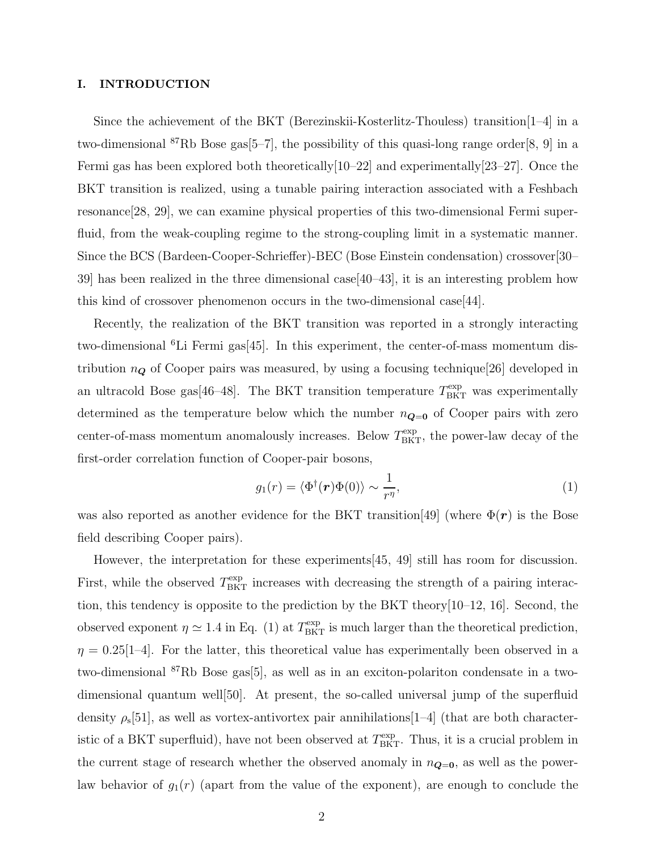### I. INTRODUCTION

Since the achievement of the BKT (Berezinskii-Kosterlitz-Thouless) transition[1–4] in a two-dimensional <sup>87</sup>Rb Bose gas[5–7], the possibility of this quasi-long range order[8, 9] in a Fermi gas has been explored both theoretically[10–22] and experimentally[23–27]. Once the BKT transition is realized, using a tunable pairing interaction associated with a Feshbach resonance[28, 29], we can examine physical properties of this two-dimensional Fermi superfluid, from the weak-coupling regime to the strong-coupling limit in a systematic manner. Since the BCS (Bardeen-Cooper-Schrieffer)-BEC (Bose Einstein condensation) crossover[30– 39] has been realized in the three dimensional case[40–43], it is an interesting problem how this kind of crossover phenomenon occurs in the two-dimensional case[44].

Recently, the realization of the BKT transition was reported in a strongly interacting two-dimensional  ${}^{6}$ Li Fermi gas $[45]$ . In this experiment, the center-of-mass momentum distribution  $n_{\mathbf{Q}}$  of Cooper pairs was measured, by using a focusing technique[26] developed in an ultracold Bose gas[46–48]. The BKT transition temperature  $T^{\text{exp}}_{\text{BKT}}$  was experimentally determined as the temperature below which the number  $n_{\mathbf{Q}=0}$  of Cooper pairs with zero center-of-mass momentum anomalously increases. Below  $T<sub>BKT</sub><sup>exp</sup>$ , the power-law decay of the first-order correlation function of Cooper-pair bosons,

$$
g_1(r) = \langle \Phi^{\dagger}(\boldsymbol{r}) \Phi(0) \rangle \sim \frac{1}{r^{\eta}}, \tag{1}
$$

was also reported as another evidence for the BKT transition [49] (where  $\Phi(\mathbf{r})$  is the Bose field describing Cooper pairs).

However, the interpretation for these experiments[45, 49] still has room for discussion. First, while the observed  $T<sub>BKT</sub><sup>exp</sup>$  increases with decreasing the strength of a pairing interaction, this tendency is opposite to the prediction by the BKT theory[10–12, 16]. Second, the observed exponent  $\eta \simeq 1.4$  in Eq. (1) at  $T_{\rm BKT}^{\rm exp}$  is much larger than the theoretical prediction,  $\eta = 0.25[1-4]$ . For the latter, this theoretical value has experimentally been observed in a two-dimensional <sup>87</sup>Rb Bose gas[5], as well as in an exciton-polariton condensate in a twodimensional quantum well[50]. At present, the so-called universal jump of the superfluid density  $\rho_s[51]$ , as well as vortex-antivortex pair annihilations $[1-4]$  (that are both characteristic of a BKT superfluid), have not been observed at  $T_{\text{BKT}}^{\text{exp}}$ . Thus, it is a crucial problem in the current stage of research whether the observed anomaly in  $n_{\mathbf{Q}=0}$ , as well as the powerlaw behavior of  $g_1(r)$  (apart from the value of the exponent), are enough to conclude the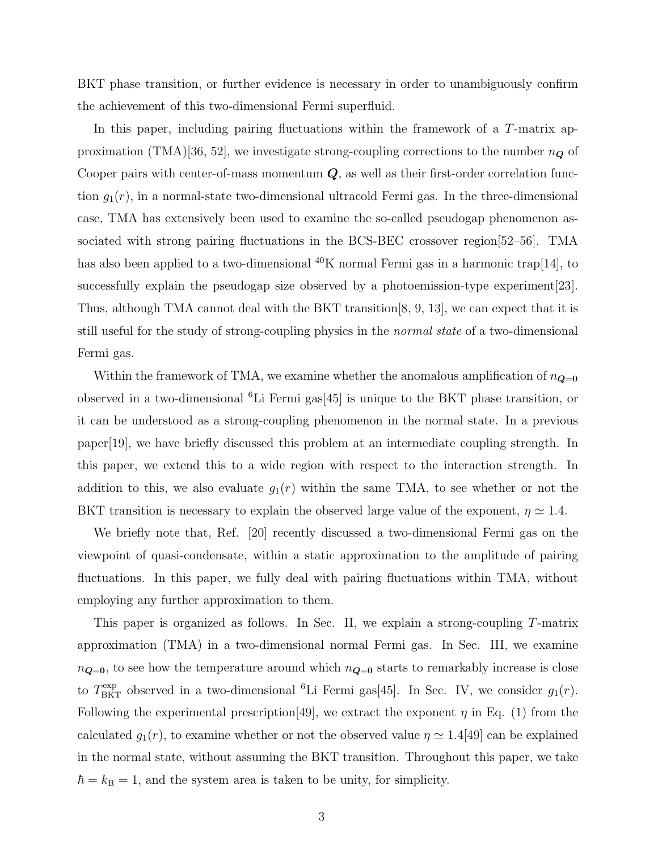BKT phase transition, or further evidence is necessary in order to unambiguously confirm the achievement of this two-dimensional Fermi superfluid.

In this paper, including pairing fluctuations within the framework of a T-matrix approximation (TMA)[36, 52], we investigate strong-coupling corrections to the number  $n_{\mathbf{Q}}$  of Cooper pairs with center-of-mass momentum  $Q$ , as well as their first-order correlation function  $g_1(r)$ , in a normal-state two-dimensional ultracold Fermi gas. In the three-dimensional case, TMA has extensively been used to examine the so-called pseudogap phenomenon associated with strong pairing fluctuations in the BCS-BEC crossover region[52–56]. TMA has also been applied to a two-dimensional  $^{40}$ K normal Fermi gas in a harmonic trap[14], to successfully explain the pseudogap size observed by a photoemission-type experiment[23]. Thus, although TMA cannot deal with the BKT transition[8, 9, 13], we can expect that it is still useful for the study of strong-coupling physics in the *normal state* of a two-dimensional Fermi gas.

Within the framework of TMA, we examine whether the anomalous amplification of  $n_{\mathbf{Q}=\mathbf{0}}$ observed in a two-dimensional <sup>6</sup>Li Fermi gas[45] is unique to the BKT phase transition, or it can be understood as a strong-coupling phenomenon in the normal state. In a previous paper[19], we have briefly discussed this problem at an intermediate coupling strength. In this paper, we extend this to a wide region with respect to the interaction strength. In addition to this, we also evaluate  $g_1(r)$  within the same TMA, to see whether or not the BKT transition is necessary to explain the observed large value of the exponent,  $\eta \simeq 1.4$ .

We briefly note that, Ref. [20] recently discussed a two-dimensional Fermi gas on the viewpoint of quasi-condensate, within a static approximation to the amplitude of pairing fluctuations. In this paper, we fully deal with pairing fluctuations within TMA, without employing any further approximation to them.

This paper is organized as follows. In Sec. II, we explain a strong-coupling T-matrix approximation (TMA) in a two-dimensional normal Fermi gas. In Sec. III, we examine  $n_{\mathbf{Q}=0}$ , to see how the temperature around which  $n_{\mathbf{Q}=0}$  starts to remarkably increase is close to  $T_{\text{BKT}}^{\text{exp}}$  observed in a two-dimensional <sup>6</sup>Li Fermi gas[45]. In Sec. IV, we consider  $g_1(r)$ . Following the experimental prescription [49], we extract the exponent  $\eta$  in Eq. (1) from the calculated  $g_1(r)$ , to examine whether or not the observed value  $\eta \simeq 1.4$ [49] can be explained in the normal state, without assuming the BKT transition. Throughout this paper, we take  $\hbar = k_B = 1$ , and the system area is taken to be unity, for simplicity.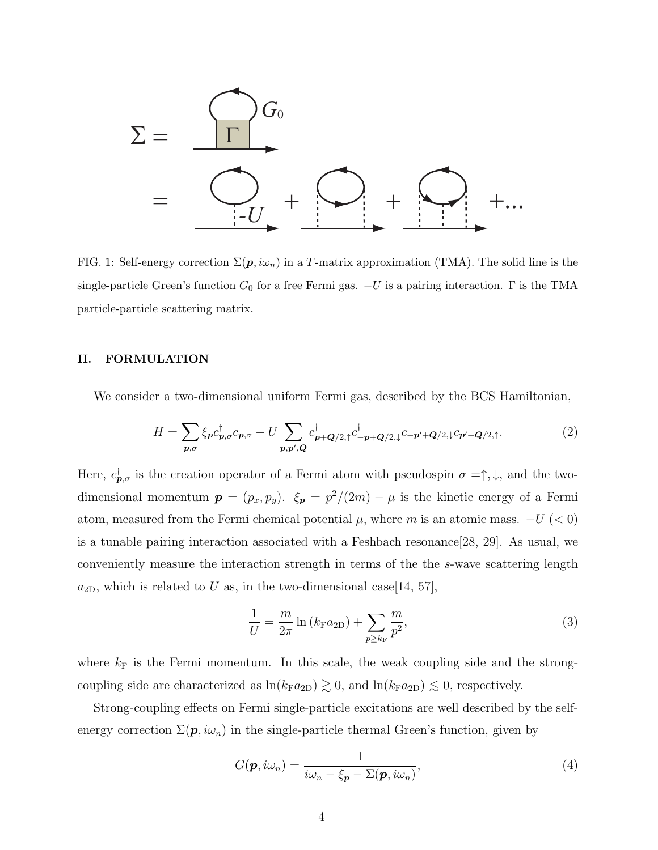

FIG. 1: Self-energy correction  $\Sigma(p, i\omega_n)$  in a T-matrix approximation (TMA). The solid line is the single-particle Green's function  $G_0$  for a free Fermi gas.  $-U$  is a pairing interaction.  $\Gamma$  is the TMA particle-particle scattering matrix.

### II. FORMULATION

We consider a two-dimensional uniform Fermi gas, described by the BCS Hamiltonian,

$$
H = \sum_{\boldsymbol{p},\sigma} \xi_{\boldsymbol{p}} c_{\boldsymbol{p},\sigma}^{\dagger} c_{\boldsymbol{p},\sigma} - U \sum_{\boldsymbol{p},\boldsymbol{p}',\boldsymbol{Q}} c_{\boldsymbol{p}+\boldsymbol{Q}/2,\uparrow}^{\dagger} c_{-\boldsymbol{p}+\boldsymbol{Q}/2,\downarrow}^{\dagger} c_{-\boldsymbol{p}'+\boldsymbol{Q}/2,\downarrow} c_{\boldsymbol{p}'+\boldsymbol{Q}/2,\uparrow}.
$$
 (2)

Here,  $c^{\dagger}_{\bm{p},\sigma}$  is the creation operator of a Fermi atom with pseudospin  $\sigma = \uparrow, \downarrow$ , and the twodimensional momentum  $p = (p_x, p_y)$ .  $\xi_p = p^2/(2m) - \mu$  is the kinetic energy of a Fermi atom, measured from the Fermi chemical potential  $\mu$ , where m is an atomic mass.  $-U$  (< 0) is a tunable pairing interaction associated with a Feshbach resonance[28, 29]. As usual, we conveniently measure the interaction strength in terms of the the s-wave scattering length  $a_{2D}$ , which is related to U as, in the two-dimensional case [14, 57],

$$
\frac{1}{U} = \frac{m}{2\pi} \ln \left( k_{\rm F} a_{2\rm D} \right) + \sum_{p \ge k_{\rm F}} \frac{m}{p^2},\tag{3}
$$

where  $k_F$  is the Fermi momentum. In this scale, the weak coupling side and the strongcoupling side are characterized as  $\ln(k_F a_{2D}) \gtrsim 0$ , and  $\ln(k_F a_{2D}) \lesssim 0$ , respectively.

Strong-coupling effects on Fermi single-particle excitations are well described by the selfenergy correction  $\Sigma(\mathbf{p}, i\omega_n)$  in the single-particle thermal Green's function, given by

$$
G(\mathbf{p}, i\omega_n) = \frac{1}{i\omega_n - \xi_{\mathbf{p}} - \Sigma(\mathbf{p}, i\omega_n)},
$$
\n(4)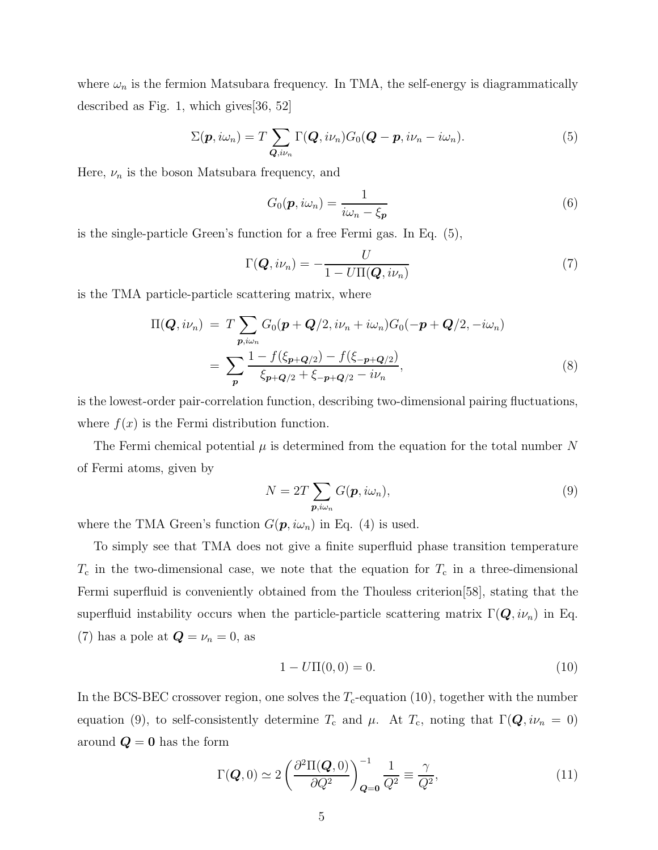where  $\omega_n$  is the fermion Matsubara frequency. In TMA, the self-energy is diagrammatically described as Fig. 1, which gives  $|36, 52|$ 

$$
\Sigma(\boldsymbol{p}, i\omega_n) = T \sum_{\boldsymbol{Q}, i\nu_n} \Gamma(\boldsymbol{Q}, i\nu_n) G_0(\boldsymbol{Q} - \boldsymbol{p}, i\nu_n - i\omega_n).
$$
 (5)

Here,  $\nu_n$  is the boson Matsubara frequency, and

$$
G_0(\boldsymbol{p}, i\omega_n) = \frac{1}{i\omega_n - \xi_{\boldsymbol{p}}}
$$
\n(6)

is the single-particle Green's function for a free Fermi gas. In Eq. (5),

$$
\Gamma(\boldsymbol{Q}, i\nu_n) = -\frac{U}{1 - U\Pi(\boldsymbol{Q}, i\nu_n)}
$$
\n(7)

is the TMA particle-particle scattering matrix, where

$$
\Pi(\mathbf{Q}, i\nu_n) = T \sum_{\mathbf{p}, i\omega_n} G_0(\mathbf{p} + \mathbf{Q}/2, i\nu_n + i\omega_n) G_0(-\mathbf{p} + \mathbf{Q}/2, -i\omega_n)
$$
  
= 
$$
\sum_{\mathbf{p}} \frac{1 - f(\xi_{\mathbf{p} + \mathbf{Q}/2}) - f(\xi_{-\mathbf{p} + \mathbf{Q}/2})}{\xi_{\mathbf{p} + \mathbf{Q}/2} + \xi_{-\mathbf{p} + \mathbf{Q}/2} - i\nu_n},
$$
(8)

is the lowest-order pair-correlation function, describing two-dimensional pairing fluctuations, where  $f(x)$  is the Fermi distribution function.

The Fermi chemical potential  $\mu$  is determined from the equation for the total number N of Fermi atoms, given by

$$
N = 2T \sum_{\mathbf{p}, i\omega_n} G(\mathbf{p}, i\omega_n),
$$
\n(9)

where the TMA Green's function  $G(\mathbf{p}, i\omega_n)$  in Eq. (4) is used.

To simply see that TMA does not give a finite superfluid phase transition temperature  $T_c$  in the two-dimensional case, we note that the equation for  $T_c$  in a three-dimensional Fermi superfluid is conveniently obtained from the Thouless criterion[58], stating that the superfluid instability occurs when the particle-particle scattering matrix  $\Gamma(Q, i\nu_n)$  in Eq. (7) has a pole at  $\mathbf{Q} = \nu_n = 0$ , as

$$
1 - U\Pi(0,0) = 0.\t(10)
$$

In the BCS-BEC crossover region, one solves the  $T_c$ -equation (10), together with the number equation (9), to self-consistently determine  $T_c$  and  $\mu$ . At  $T_c$ , noting that  $\Gamma(\mathbf{Q}, i\nu_n = 0)$ around  $\boldsymbol{Q} = \boldsymbol{0}$  has the form

$$
\Gamma(\boldsymbol{Q},0) \simeq 2 \left( \frac{\partial^2 \Pi(\boldsymbol{Q},0)}{\partial Q^2} \right)_{\boldsymbol{Q}=\boldsymbol{0}}^{-1} \frac{1}{Q^2} \equiv \frac{\gamma}{Q^2},\tag{11}
$$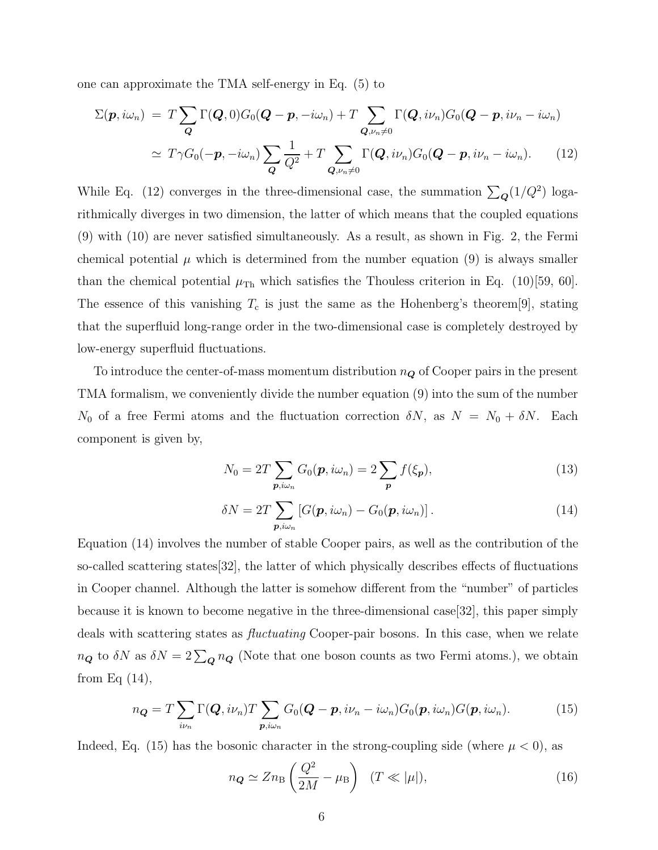one can approximate the TMA self-energy in Eq. (5) to

$$
\Sigma(\boldsymbol{p}, i\omega_n) = T \sum_{\boldsymbol{Q}} \Gamma(\boldsymbol{Q}, 0) G_0(\boldsymbol{Q} - \boldsymbol{p}, -i\omega_n) + T \sum_{\boldsymbol{Q}, \nu_n \neq 0} \Gamma(\boldsymbol{Q}, i\nu_n) G_0(\boldsymbol{Q} - \boldsymbol{p}, i\nu_n - i\omega_n)
$$
  
\n
$$
\simeq T \gamma G_0(-\boldsymbol{p}, -i\omega_n) \sum_{\boldsymbol{Q}} \frac{1}{Q^2} + T \sum_{\boldsymbol{Q}, \nu_n \neq 0} \Gamma(\boldsymbol{Q}, i\nu_n) G_0(\boldsymbol{Q} - \boldsymbol{p}, i\nu_n - i\omega_n).
$$
 (12)

While Eq. (12) converges in the three-dimensional case, the summation  $\sum_{\mathbf{Q}}(1/Q^2)$  logarithmically diverges in two dimension, the latter of which means that the coupled equations (9) with (10) are never satisfied simultaneously. As a result, as shown in Fig. 2, the Fermi chemical potential  $\mu$  which is determined from the number equation (9) is always smaller than the chemical potential  $\mu_{\text{Th}}$  which satisfies the Thouless criterion in Eq. (10)[59, 60]. The essence of this vanishing  $T_c$  is just the same as the Hohenberg's theorem[9], stating that the superfluid long-range order in the two-dimensional case is completely destroyed by low-energy superfluid fluctuations.

To introduce the center-of-mass momentum distribution  $n_{\mathbf{Q}}$  of Cooper pairs in the present TMA formalism, we conveniently divide the number equation (9) into the sum of the number  $N_0$  of a free Fermi atoms and the fluctuation correction  $\delta N$ , as  $N = N_0 + \delta N$ . Each component is given by,

$$
N_0 = 2T \sum_{\mathbf{p}, i\omega_n} G_0(\mathbf{p}, i\omega_n) = 2 \sum_{\mathbf{p}} f(\xi_{\mathbf{p}}),
$$
\n(13)

$$
\delta N = 2T \sum_{\boldsymbol{p}, i \omega_n} \left[ G(\boldsymbol{p}, i \omega_n) - G_0(\boldsymbol{p}, i \omega_n) \right]. \tag{14}
$$

Equation (14) involves the number of stable Cooper pairs, as well as the contribution of the so-called scattering states[32], the latter of which physically describes effects of fluctuations in Cooper channel. Although the latter is somehow different from the "number" of particles because it is known to become negative in the three-dimensional case[32], this paper simply deals with scattering states as fluctuating Cooper-pair bosons. In this case, when we relate  $n_{\mathbf{Q}}$  to  $\delta N$  as  $\delta N = 2\sum_{\mathbf{Q}} n_{\mathbf{Q}}$  (Note that one boson counts as two Fermi atoms.), we obtain from Eq  $(14)$ ,

$$
n_{\mathbf{Q}} = T \sum_{i\nu_n} \Gamma(\mathbf{Q}, i\nu_n) T \sum_{\mathbf{p}, i\omega_n} G_0(\mathbf{Q} - \mathbf{p}, i\nu_n - i\omega_n) G_0(\mathbf{p}, i\omega_n) G(\mathbf{p}, i\omega_n).
$$
 (15)

Indeed, Eq. (15) has the bosonic character in the strong-coupling side (where  $\mu < 0$ ), as

$$
n_{\mathbf{Q}} \simeq Z n_{\mathrm{B}} \left( \frac{Q^2}{2M} - \mu_{\mathrm{B}} \right) \quad (T \ll |\mu|), \tag{16}
$$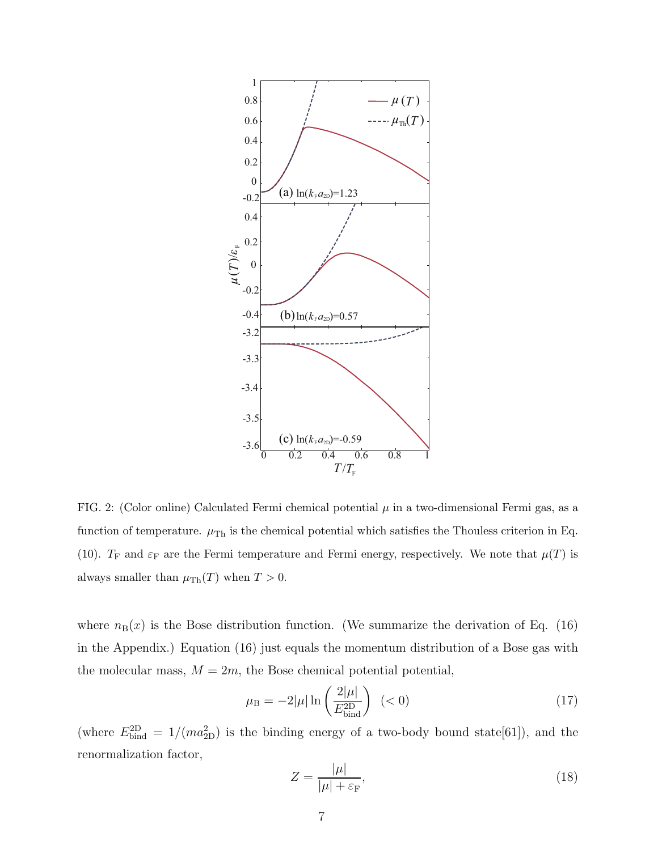

FIG. 2: (Color online) Calculated Fermi chemical potential  $\mu$  in a two-dimensional Fermi gas, as a function of temperature.  $\mu_{\text{Th}}$  is the chemical potential which satisfies the Thouless criterion in Eq. (10).  $T_F$  and  $\varepsilon_F$  are the Fermi temperature and Fermi energy, respectively. We note that  $\mu(T)$  is always smaller than  $\mu_{\text{Th}}(T)$  when  $T > 0$ .

where  $n_B(x)$  is the Bose distribution function. (We summarize the derivation of Eq. (16) in the Appendix.) Equation (16) just equals the momentum distribution of a Bose gas with the molecular mass,  $M = 2m$ , the Bose chemical potential potential,

$$
\mu_{\rm B} = -2|\mu| \ln \left(\frac{2|\mu|}{E_{\rm bind}^{\rm 2D}}\right) \quad (<0)
$$
\n(17)

(where  $E_{\text{bind}}^{\text{2D}} = 1/(ma_{\text{2D}}^2)$  is the binding energy of a two-body bound state[61]), and the renormalization factor,

$$
Z = \frac{|\mu|}{|\mu| + \varepsilon_{\mathcal{F}}},\tag{18}
$$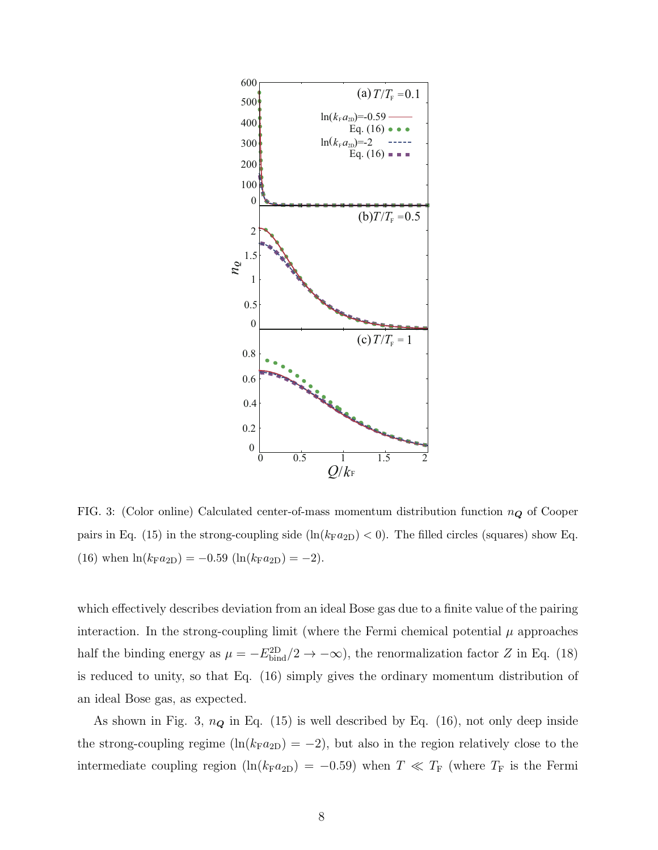

FIG. 3: (Color online) Calculated center-of-mass momentum distribution function  $n_Q$  of Cooper pairs in Eq. (15) in the strong-coupling side  $(\ln(k_Fa_{2D}) < 0)$ . The filled circles (squares) show Eq. (16) when  $\ln(k_F a_{2D}) = -0.59 \left( \ln(k_F a_{2D}) \right) = -2$ .

which effectively describes deviation from an ideal Bose gas due to a finite value of the pairing interaction. In the strong-coupling limit (where the Fermi chemical potential  $\mu$  approaches half the binding energy as  $\mu = -E_{\text{bind}}^{\text{2D}}/2 \to -\infty$ , the renormalization factor Z in Eq. (18) is reduced to unity, so that Eq. (16) simply gives the ordinary momentum distribution of an ideal Bose gas, as expected.

As shown in Fig. 3,  $n_{\mathbf{Q}}$  in Eq. (15) is well described by Eq. (16), not only deep inside the strong-coupling regime (ln( $k_{\text{F}}a_{2\text{D}}$ ) = -2), but also in the region relatively close to the intermediate coupling region (ln( $k_{\text{F}}a_{2\text{D}}$ ) = -0.59) when  $T \ll T_{\text{F}}$  (where  $T_{\text{F}}$  is the Fermi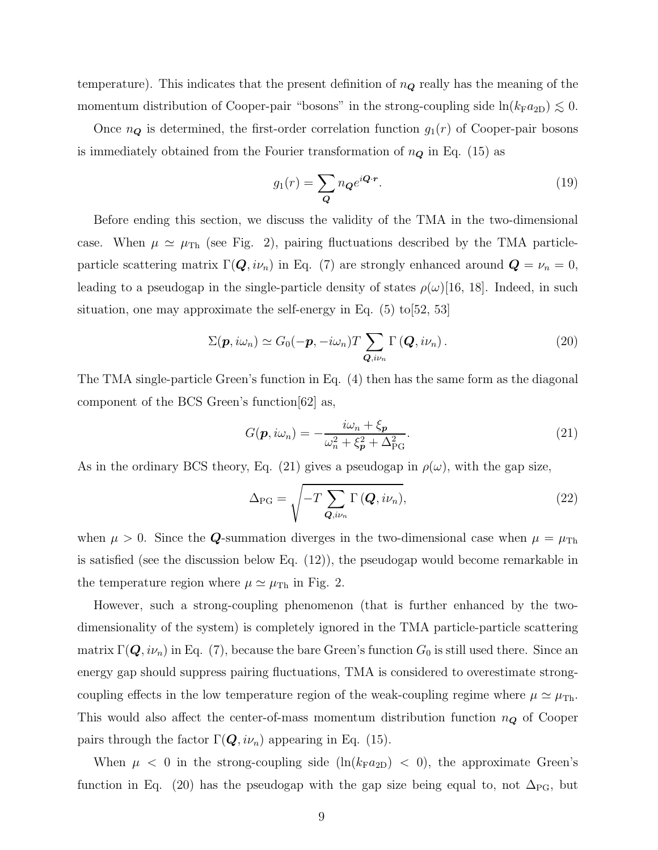temperature). This indicates that the present definition of  $n_{\mathbf{Q}}$  really has the meaning of the momentum distribution of Cooper-pair "bosons" in the strong-coupling side  $ln(k_Fa_{2D}) \lesssim 0$ .

Once  $n_{\mathbf{Q}}$  is determined, the first-order correlation function  $g_1(r)$  of Cooper-pair bosons is immediately obtained from the Fourier transformation of  $n_{\mathbf{Q}}$  in Eq. (15) as

$$
g_1(r) = \sum_{\mathbf{Q}} n_{\mathbf{Q}} e^{i\mathbf{Q} \cdot \mathbf{r}}.
$$
 (19)

Before ending this section, we discuss the validity of the TMA in the two-dimensional case. When  $\mu \simeq \mu_{\text{Th}}$  (see Fig. 2), pairing fluctuations described by the TMA particleparticle scattering matrix  $\Gamma(Q, i\nu_n)$  in Eq. (7) are strongly enhanced around  $Q = \nu_n = 0$ , leading to a pseudogap in the single-particle density of states  $\rho(\omega)$ [16, 18]. Indeed, in such situation, one may approximate the self-energy in Eq.  $(5)$  to  $[52, 53]$ 

$$
\Sigma(\boldsymbol{p}, i\omega_n) \simeq G_0(-\boldsymbol{p}, -i\omega_n) T \sum_{\boldsymbol{Q}, i\nu_n} \Gamma(\boldsymbol{Q}, i\nu_n).
$$
 (20)

The TMA single-particle Green's function in Eq. (4) then has the same form as the diagonal component of the BCS Green's function[62] as,

$$
G(\mathbf{p}, i\omega_n) = -\frac{i\omega_n + \xi_{\mathbf{p}}}{\omega_n^2 + \xi_{\mathbf{p}}^2 + \Delta_{\rm PG}^2}.
$$
\n(21)

As in the ordinary BCS theory, Eq. (21) gives a pseudogap in  $\rho(\omega)$ , with the gap size,

$$
\Delta_{\rm PG} = \sqrt{-T \sum_{\mathbf{Q}, i\nu_n} \Gamma\left(\mathbf{Q}, i\nu_n\right)},\tag{22}
$$

when  $\mu > 0$ . Since the **Q**-summation diverges in the two-dimensional case when  $\mu = \mu_{\text{Th}}$ is satisfied (see the discussion below Eq. (12)), the pseudogap would become remarkable in the temperature region where  $\mu \simeq \mu_{\text{Th}}$  in Fig. 2.

However, such a strong-coupling phenomenon (that is further enhanced by the twodimensionality of the system) is completely ignored in the TMA particle-particle scattering matrix  $\Gamma(Q, i\nu_n)$  in Eq. (7), because the bare Green's function  $G_0$  is still used there. Since an energy gap should suppress pairing fluctuations, TMA is considered to overestimate strongcoupling effects in the low temperature region of the weak-coupling regime where  $\mu \simeq \mu_{\text{Th}}$ . This would also affect the center-of-mass momentum distribution function  $n_Q$  of Cooper pairs through the factor  $\Gamma(\mathbf{Q}, i\nu_n)$  appearing in Eq. (15).

When  $\mu$  < 0 in the strong-coupling side  $(\ln(k_F a_{2D})$  < 0), the approximate Green's function in Eq. (20) has the pseudogap with the gap size being equal to, not  $\Delta_{\text{PG}}$ , but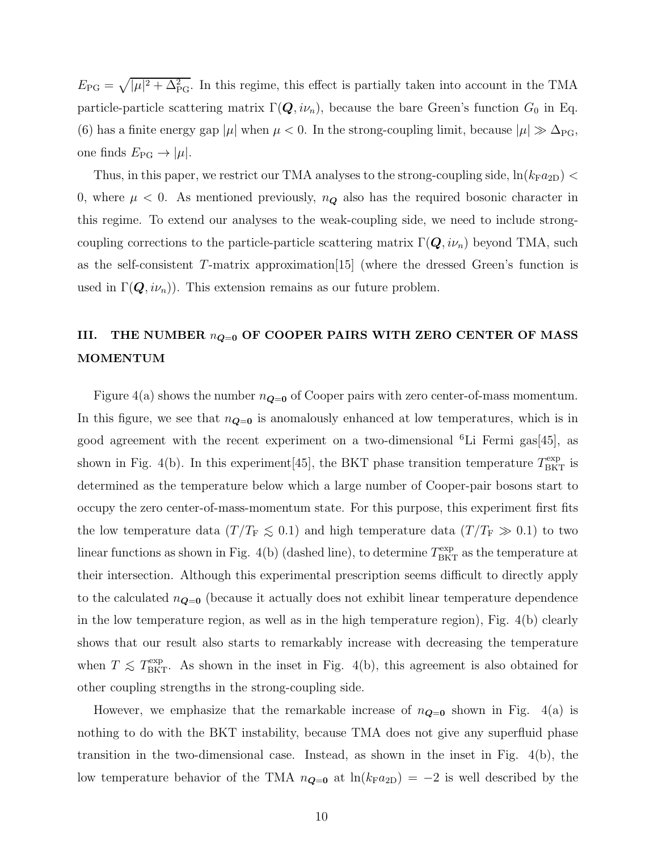$E_{\rm PG} = \sqrt{|\mu|^2 + \Delta_{\rm PG}^2}$ . In this regime, this effect is partially taken into account in the TMA particle-particle scattering matrix  $\Gamma(Q, i\nu_n)$ , because the bare Green's function  $G_0$  in Eq. (6) has a finite energy gap | $\mu$ | when  $\mu < 0$ . In the strong-coupling limit, because  $|\mu| \gg \Delta_{\text{PG}}$ , one finds  $E_{\rm PG} \rightarrow |\mu|$ .

Thus, in this paper, we restrict our TMA analyses to the strong-coupling side,  $\ln(k_F a_{2D})$  < 0, where  $\mu$  < 0. As mentioned previously,  $n_{\mathbf{Q}}$  also has the required bosonic character in this regime. To extend our analyses to the weak-coupling side, we need to include strongcoupling corrections to the particle-particle scattering matrix  $\Gamma(Q, i\nu_n)$  beyond TMA, such as the self-consistent T-matrix approximation[15] (where the dressed Green's function is used in  $\Gamma(\mathbf{Q}, i\nu_n)$ . This extension remains as our future problem.

## III. THE NUMBER  $n_{\mathbf{Q}=0}$  OF COOPER PAIRS WITH ZERO CENTER OF MASS MOMENTUM

Figure 4(a) shows the number  $n_{\mathbf{Q}=0}$  of Cooper pairs with zero center-of-mass momentum. In this figure, we see that  $n_{\mathbf{Q}=\mathbf{0}}$  is anomalously enhanced at low temperatures, which is in good agreement with the recent experiment on a two-dimensional <sup>6</sup>Li Fermi gas[45], as shown in Fig. 4(b). In this experiment [45], the BKT phase transition temperature  $T_{\text{BKT}}^{\text{exp}}$  is determined as the temperature below which a large number of Cooper-pair bosons start to occupy the zero center-of-mass-momentum state. For this purpose, this experiment first fits the low temperature data ( $T/T_F \lesssim 0.1$ ) and high temperature data ( $T/T_F \gg 0.1$ ) to two linear functions as shown in Fig. 4(b) (dashed line), to determine  $T<sub>BKT</sub><sup>exp</sup>$  as the temperature at their intersection. Although this experimental prescription seems difficult to directly apply to the calculated  $n_{\mathbf{Q}=\mathbf{0}}$  (because it actually does not exhibit linear temperature dependence in the low temperature region, as well as in the high temperature region), Fig. 4(b) clearly shows that our result also starts to remarkably increase with decreasing the temperature when  $T \leq T_{\text{BKT}}^{\text{exp}}$ . As shown in the inset in Fig. 4(b), this agreement is also obtained for other coupling strengths in the strong-coupling side.

However, we emphasize that the remarkable increase of  $n_{\mathbf{Q}=\mathbf{0}}$  shown in Fig. 4(a) is nothing to do with the BKT instability, because TMA does not give any superfluid phase transition in the two-dimensional case. Instead, as shown in the inset in Fig. 4(b), the low temperature behavior of the TMA  $n_{\mathbf{Q}=0}$  at  $\ln(k_{\mathrm{F}}a_{2\mathrm{D}}) = -2$  is well described by the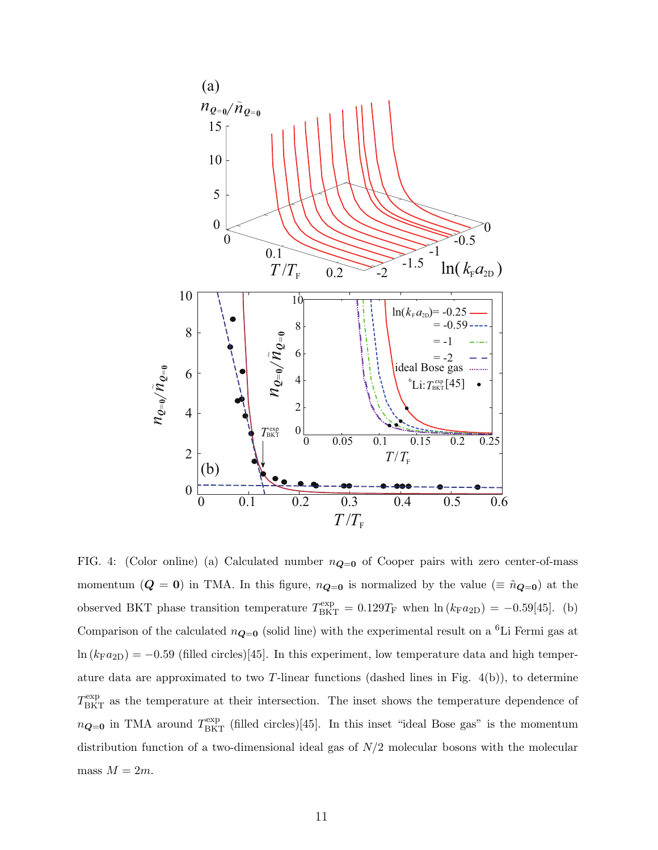

FIG. 4: (Color online) (a) Calculated number  $n_{\mathbf{Q}=0}$  of Cooper pairs with zero center-of-mass momentum ( $Q = 0$ ) in TMA. In this figure,  $n_{Q=0}$  is normalized by the value ( $\equiv \tilde{n}_{Q=0}$ ) at the observed BKT phase transition temperature  $T_{\text{BKT}}^{\text{exp}} = 0.129T_{\text{F}}$  when  $\ln (k_{\text{F}}a_{2\text{D}}) = -0.59[45]$ . (b) Comparison of the calculated  $n_{\mathbf{Q}=0}$  (solid line) with the experimental result on a <sup>6</sup>Li Fermi gas at  $\ln (k_{\text{F}}a_{2D}) = -0.59$  (filled circles)[45]. In this experiment, low temperature data and high temperature data are approximated to two T-linear functions (dashed lines in Fig.  $4(b)$ ), to determine  $T<sub>BKT</sub><sup>exp</sup>$  as the temperature at their intersection. The inset shows the temperature dependence of  $n_{\mathbf{Q}=0}$  in TMA around  $T^{\text{exp}}_{\text{BKT}}$  (filled circles)[45]. In this inset "ideal Bose gas" is the momentum distribution function of a two-dimensional ideal gas of  $N/2$  molecular bosons with the molecular mass  $M = 2m$ .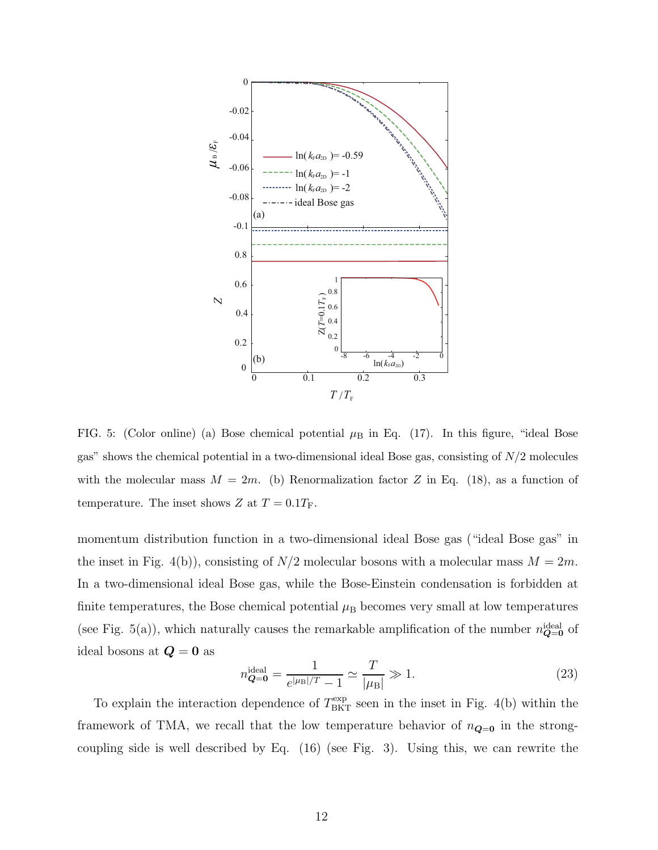

FIG. 5: (Color online) (a) Bose chemical potential  $\mu_B$  in Eq. (17). In this figure, "ideal Bose gas" shows the chemical potential in a two-dimensional ideal Bose gas, consisting of N/2 molecules with the molecular mass  $M = 2m$ . (b) Renormalization factor Z in Eq. (18), as a function of temperature. The inset shows Z at  $T = 0.1T_F$ .

momentum distribution function in a two-dimensional ideal Bose gas ("ideal Bose gas" in the inset in Fig. 4(b)), consisting of  $N/2$  molecular bosons with a molecular mass  $M = 2m$ . In a two-dimensional ideal Bose gas, while the Bose-Einstein condensation is forbidden at finite temperatures, the Bose chemical potential  $\mu_B$  becomes very small at low temperatures (see Fig. 5(a)), which naturally causes the remarkable amplification of the number  $n_{\mathbf{Q}=0}^{\text{ideal}}$  of ideal bosons at  $\boldsymbol{Q} = \boldsymbol{0}$  as

$$
n_{\mathbf{Q}=\mathbf{0}}^{\text{ideal}} = \frac{1}{e^{|\mu_{\text{B}}|/T} - 1} \simeq \frac{T}{|\mu_{\text{B}}|} \gg 1. \tag{23}
$$

To explain the interaction dependence of  $T_{\text{BKT}}^{\text{exp}}$  seen in the inset in Fig. 4(b) within the framework of TMA, we recall that the low temperature behavior of  $n_{\mathbf{Q}=\mathbf{0}}$  in the strongcoupling side is well described by Eq. (16) (see Fig. 3). Using this, we can rewrite the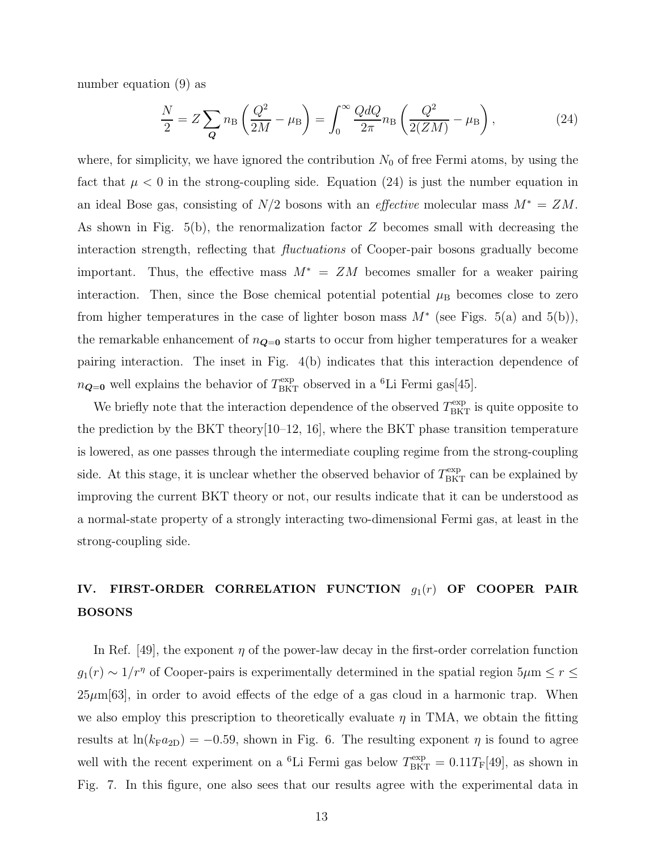number equation (9) as

$$
\frac{N}{2} = Z \sum_{\mathbf{Q}} n_{\text{B}} \left( \frac{Q^2}{2M} - \mu_{\text{B}} \right) = \int_0^\infty \frac{Q dQ}{2\pi} n_{\text{B}} \left( \frac{Q^2}{2(ZM)} - \mu_{\text{B}} \right),\tag{24}
$$

where, for simplicity, we have ignored the contribution  $N_0$  of free Fermi atoms, by using the fact that  $\mu < 0$  in the strong-coupling side. Equation (24) is just the number equation in an ideal Bose gas, consisting of  $N/2$  bosons with an *effective* molecular mass  $M^* = ZM$ . As shown in Fig.  $5(b)$ , the renormalization factor Z becomes small with decreasing the interaction strength, reflecting that fluctuations of Cooper-pair bosons gradually become important. Thus, the effective mass  $M^* = ZM$  becomes smaller for a weaker pairing interaction. Then, since the Bose chemical potential potential  $\mu_B$  becomes close to zero from higher temperatures in the case of lighter boson mass  $M^*$  (see Figs. 5(a) and 5(b)), the remarkable enhancement of  $n_{\mathbf{Q}=0}$  starts to occur from higher temperatures for a weaker pairing interaction. The inset in Fig. 4(b) indicates that this interaction dependence of  $n_{\mathbf{Q}=0}$  well explains the behavior of  $T_{\text{BKT}}^{\text{exp}}$  observed in a <sup>6</sup>Li Fermi gas[45].

We briefly note that the interaction dependence of the observed  $T_{\text{BKT}}^{\text{exp}}$  is quite opposite to the prediction by the BKT theory $[10-12, 16]$ , where the BKT phase transition temperature is lowered, as one passes through the intermediate coupling regime from the strong-coupling side. At this stage, it is unclear whether the observed behavior of  $T_{\text{BKT}}^{\text{exp}}$  can be explained by improving the current BKT theory or not, our results indicate that it can be understood as a normal-state property of a strongly interacting two-dimensional Fermi gas, at least in the strong-coupling side.

## IV. FIRST-ORDER CORRELATION FUNCTION  $g_1(r)$  OF COOPER PAIR BOSONS

In Ref. [49], the exponent  $\eta$  of the power-law decay in the first-order correlation function  $g_1(r) \sim 1/r^{\eta}$  of Cooper-pairs is experimentally determined in the spatial region  $5\mu$ m  $\leq r \leq$  $25\mu\text{m}$ [63], in order to avoid effects of the edge of a gas cloud in a harmonic trap. When we also employ this prescription to theoretically evaluate  $\eta$  in TMA, we obtain the fitting results at  $\ln(k_F a_{2D}) = -0.59$ , shown in Fig. 6. The resulting exponent  $\eta$  is found to agree well with the recent experiment on a <sup>6</sup>Li Fermi gas below  $T_{BKT}^{\text{exp}} = 0.11 T_{F}[49]$ , as shown in Fig. 7. In this figure, one also sees that our results agree with the experimental data in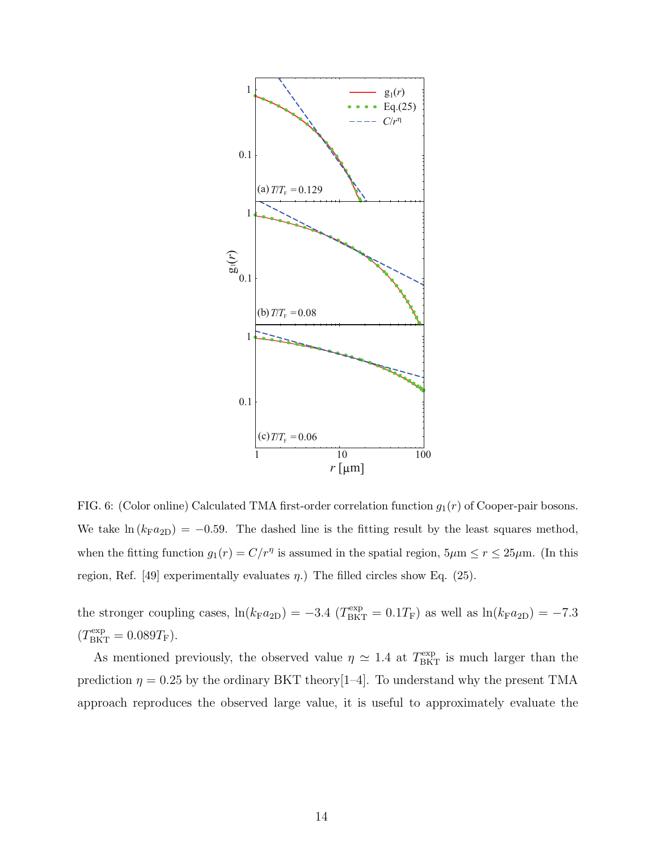

FIG. 6: (Color online) Calculated TMA first-order correlation function  $g_1(r)$  of Cooper-pair bosons. We take  $\ln (k_F a_{2D}) = -0.59$ . The dashed line is the fitting result by the least squares method, when the fitting function  $g_1(r) = C/r^{\eta}$  is assumed in the spatial region,  $5\mu$ m  $\le r \le 25\mu$ m. (In this region, Ref. [49] experimentally evaluates  $\eta$ .) The filled circles show Eq. (25).

the stronger coupling cases,  $\ln(k_F a_{2D}) = -3.4$  ( $T_{BKT}^{\exp} = 0.1T_F$ ) as well as  $\ln(k_F a_{2D}) = -7.3$  $(T^{\rm exp}_{\rm BKT}=0.089T_{\rm F}).$ 

As mentioned previously, the observed value  $\eta \simeq 1.4$  at  $T_{\text{BKT}}^{\text{exp}}$  is much larger than the prediction  $\eta = 0.25$  by the ordinary BKT theory [1–4]. To understand why the present TMA approach reproduces the observed large value, it is useful to approximately evaluate the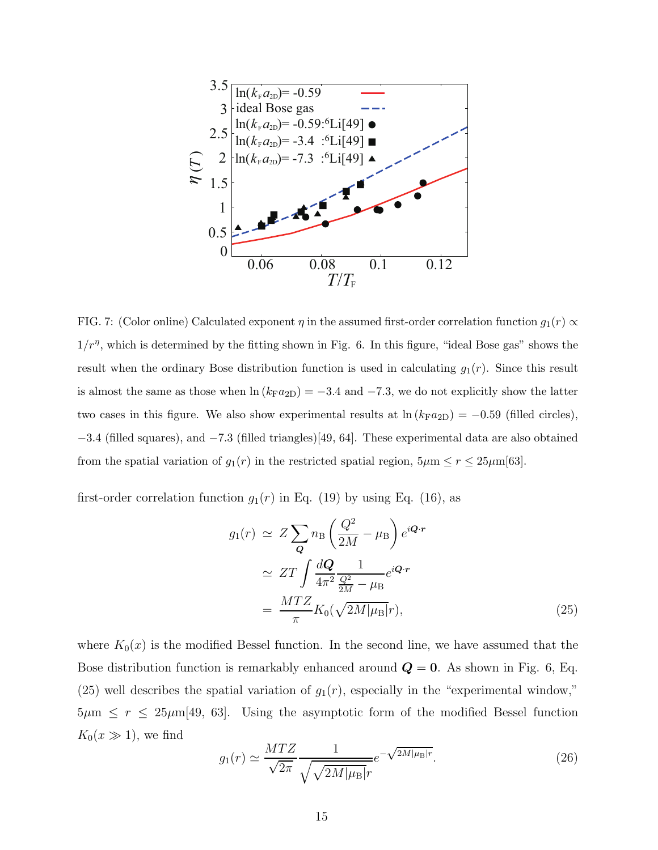

FIG. 7: (Color online) Calculated exponent  $\eta$  in the assumed first-order correlation function  $g_1(r) \propto$  $1/r<sup>\eta</sup>$ , which is determined by the fitting shown in Fig. 6. In this figure, "ideal Bose gas" shows the result when the ordinary Bose distribution function is used in calculating  $g_1(r)$ . Since this result is almost the same as those when  $\ln (k_{\rm F}a_{2D}) = -3.4$  and  $-7.3$ , we do not explicitly show the latter two cases in this figure. We also show experimental results at  $\ln (k_{\rm F}a_{2D}) = -0.59$  (filled circles), −3.4 (filled squares), and −7.3 (filled triangles)[49, 64]. These experimental data are also obtained from the spatial variation of  $g_1(r)$  in the restricted spatial region,  $5\mu$ m  $\leq r \leq 25\mu$ m[63].

first-order correlation function  $g_1(r)$  in Eq. (19) by using Eq. (16), as

$$
g_1(r) \simeq Z \sum_{\mathbf{Q}} n_{\rm B} \left( \frac{Q^2}{2M} - \mu_{\rm B} \right) e^{i\mathbf{Q} \cdot \mathbf{r}}
$$
  
\simeq ZT \int \frac{d\mathbf{Q}}{4\pi^2} \frac{1}{\frac{Q^2}{2M} - \mu\_{\rm B}} e^{i\mathbf{Q} \cdot \mathbf{r}}  
\simeq 
$$
\frac{MTZ}{\pi} K_0(\sqrt{2M|\mu_{\rm B}|}r), \tag{25}
$$

where  $K_0(x)$  is the modified Bessel function. In the second line, we have assumed that the Bose distribution function is remarkably enhanced around  $Q = 0$ . As shown in Fig. 6, Eq. (25) well describes the spatial variation of  $g_1(r)$ , especially in the "experimental window,"  $5\mu$ m  $\leq r \leq 25\mu$ m[49, 63]. Using the asymptotic form of the modified Bessel function  $K_0(x \gg 1)$ , we find

$$
g_1(r) \simeq \frac{MTZ}{\sqrt{2\pi}} \frac{1}{\sqrt{\sqrt{2M|\mu_B|}r}} e^{-\sqrt{2M|\mu_B|r}}.\tag{26}
$$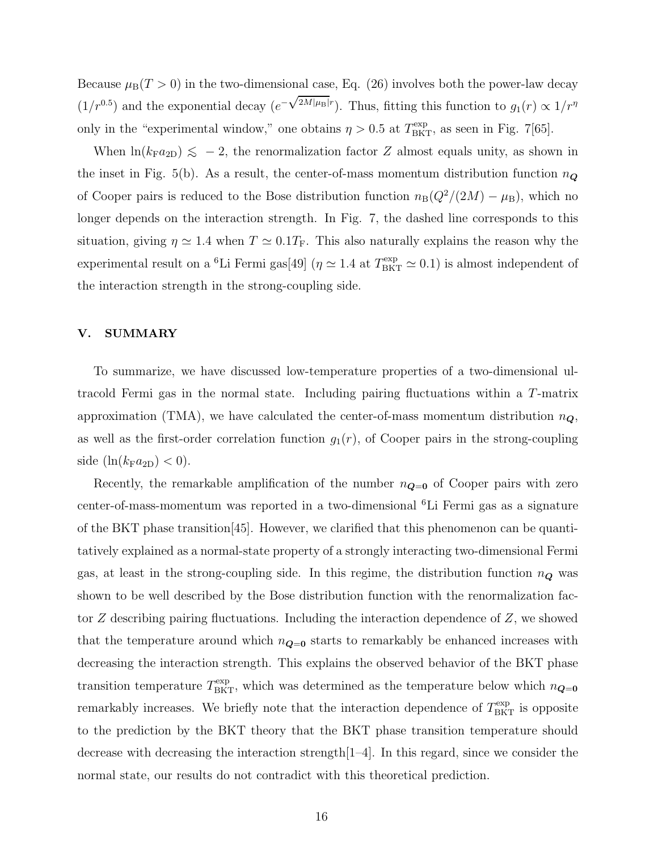Because  $\mu_B(T > 0)$  in the two-dimensional case, Eq. (26) involves both the power-law decay  $(1/r^{0.5})$  and the exponential decay  $(e^{-\sqrt{2M|\mu_B|}r})$ . Thus, fitting this function to  $g_1(r) \propto 1/r^{\eta}$ only in the "experimental window," one obtains  $\eta > 0.5$  at  $T_{\text{BKT}}^{\text{exp}}$ , as seen in Fig. 7[65].

When  $\ln(k_F a_{2D}) \leq -2$ , the renormalization factor Z almost equals unity, as shown in the inset in Fig. 5(b). As a result, the center-of-mass momentum distribution function  $n_{\mathbf{Q}}$ of Cooper pairs is reduced to the Bose distribution function  $n_B(Q^2/(2M) - \mu_B)$ , which no longer depends on the interaction strength. In Fig. 7, the dashed line corresponds to this situation, giving  $\eta \simeq 1.4$  when  $T \simeq 0.1T_F$ . This also naturally explains the reason why the experimental result on a <sup>6</sup>Li Fermi gas[49] ( $\eta \simeq 1.4$  at  $T_{\rm BKT}^{\rm exp} \simeq 0.1$ ) is almost independent of the interaction strength in the strong-coupling side.

### V. SUMMARY

To summarize, we have discussed low-temperature properties of a two-dimensional ultracold Fermi gas in the normal state. Including pairing fluctuations within a T-matrix approximation (TMA), we have calculated the center-of-mass momentum distribution  $n_{\mathbf{Q}}$ , as well as the first-order correlation function  $g_1(r)$ , of Cooper pairs in the strong-coupling side  $(\ln(k_Fa_{2D}) < 0)$ .

Recently, the remarkable amplification of the number  $n_{\mathbf{Q}=\mathbf{0}}$  of Cooper pairs with zero center-of-mass-momentum was reported in a two-dimensional <sup>6</sup>Li Fermi gas as a signature of the BKT phase transition[45]. However, we clarified that this phenomenon can be quantitatively explained as a normal-state property of a strongly interacting two-dimensional Fermi gas, at least in the strong-coupling side. In this regime, the distribution function  $n_{\mathbf{Q}}$  was shown to be well described by the Bose distribution function with the renormalization factor Z describing pairing fluctuations. Including the interaction dependence of Z, we showed that the temperature around which  $n_{\mathbf{Q}=0}$  starts to remarkably be enhanced increases with decreasing the interaction strength. This explains the observed behavior of the BKT phase transition temperature  $T<sub>BKT</sub><sup>exp</sup>$ , which was determined as the temperature below which  $n_{\mathbf{Q}=0}$ remarkably increases. We briefly note that the interaction dependence of  $T<sub>BKT</sub><sup>exp</sup>$  is opposite to the prediction by the BKT theory that the BKT phase transition temperature should decrease with decreasing the interaction strength $[1-4]$ . In this regard, since we consider the normal state, our results do not contradict with this theoretical prediction.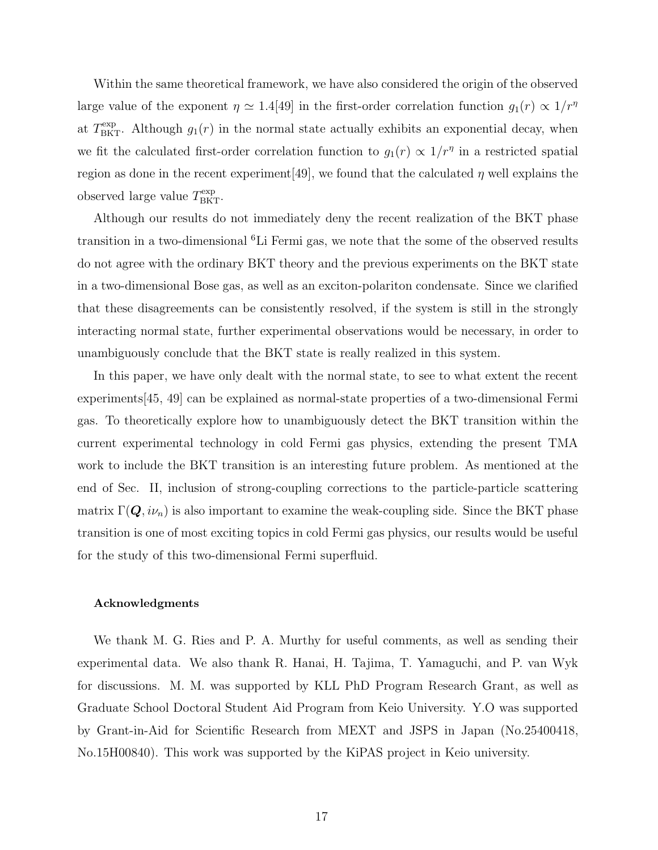Within the same theoretical framework, we have also considered the origin of the observed large value of the exponent  $\eta \simeq 1.4[49]$  in the first-order correlation function  $g_1(r) \propto 1/r^{\eta}$ at  $T_{\text{BKT}}^{\text{exp}}$ . Although  $g_1(r)$  in the normal state actually exhibits an exponential decay, when we fit the calculated first-order correlation function to  $g_1(r) \propto 1/r^{\eta}$  in a restricted spatial region as done in the recent experiment [49], we found that the calculated  $\eta$  well explains the observed large value  $T<sub>BKT</sub><sup>exp</sup>$ .

Although our results do not immediately deny the recent realization of the BKT phase transition in a two-dimensional <sup>6</sup>Li Fermi gas, we note that the some of the observed results do not agree with the ordinary BKT theory and the previous experiments on the BKT state in a two-dimensional Bose gas, as well as an exciton-polariton condensate. Since we clarified that these disagreements can be consistently resolved, if the system is still in the strongly interacting normal state, further experimental observations would be necessary, in order to unambiguously conclude that the BKT state is really realized in this system.

In this paper, we have only dealt with the normal state, to see to what extent the recent experiments[45, 49] can be explained as normal-state properties of a two-dimensional Fermi gas. To theoretically explore how to unambiguously detect the BKT transition within the current experimental technology in cold Fermi gas physics, extending the present TMA work to include the BKT transition is an interesting future problem. As mentioned at the end of Sec. II, inclusion of strong-coupling corrections to the particle-particle scattering matrix  $\Gamma(Q, i\nu_n)$  is also important to examine the weak-coupling side. Since the BKT phase transition is one of most exciting topics in cold Fermi gas physics, our results would be useful for the study of this two-dimensional Fermi superfluid.

### Acknowledgments

We thank M. G. Ries and P. A. Murthy for useful comments, as well as sending their experimental data. We also thank R. Hanai, H. Tajima, T. Yamaguchi, and P. van Wyk for discussions. M. M. was supported by KLL PhD Program Research Grant, as well as Graduate School Doctoral Student Aid Program from Keio University. Y.O was supported by Grant-in-Aid for Scientific Research from MEXT and JSPS in Japan (No.25400418, No.15H00840). This work was supported by the KiPAS project in Keio university.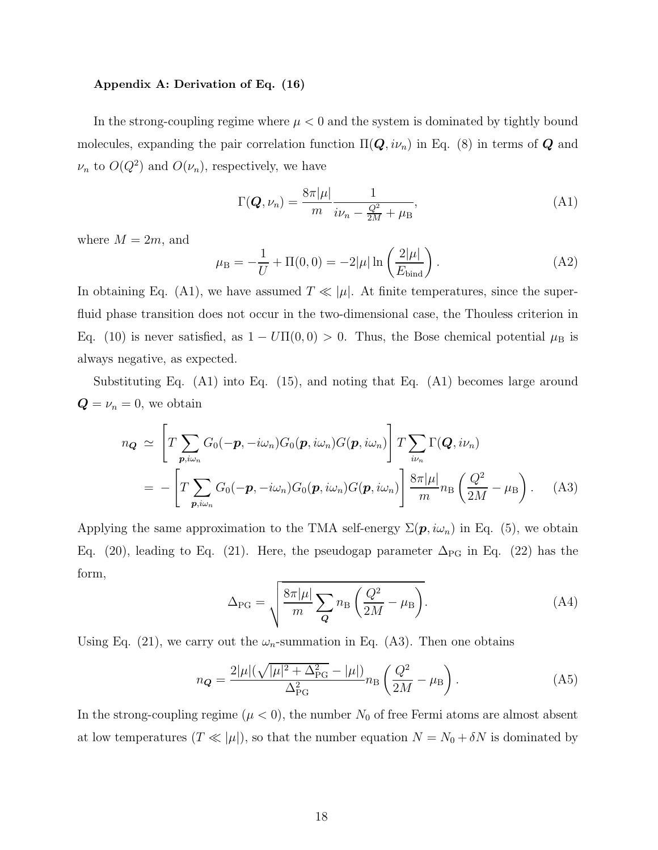#### Appendix A: Derivation of Eq. (16)

In the strong-coupling regime where  $\mu < 0$  and the system is dominated by tightly bound molecules, expanding the pair correlation function  $\Pi(Q, i\nu_n)$  in Eq. (8) in terms of  $Q$  and  $\nu_n$  to  $O(Q^2)$  and  $O(\nu_n)$ , respectively, we have

$$
\Gamma(\boldsymbol{Q},\nu_n) = \frac{8\pi|\mu|}{m} \frac{1}{i\nu_n - \frac{Q^2}{2M} + \mu_B},\tag{A1}
$$

where  $M = 2m$ , and

$$
\mu_{\rm B} = -\frac{1}{U} + \Pi(0,0) = -2|\mu| \ln\left(\frac{2|\mu|}{E_{\rm bind}}\right). \tag{A2}
$$

In obtaining Eq. (A1), we have assumed  $T \ll |\mu|$ . At finite temperatures, since the superfluid phase transition does not occur in the two-dimensional case, the Thouless criterion in Eq. (10) is never satisfied, as  $1 - U\Pi(0,0) > 0$ . Thus, the Bose chemical potential  $\mu_B$  is always negative, as expected.

Substituting Eq. (A1) into Eq. (15), and noting that Eq. (A1) becomes large around  $\mathbf{Q} = \nu_n = 0$ , we obtain

$$
n_{\mathbf{Q}} \simeq \left[ T \sum_{\mathbf{p}, i \omega_n} G_0(-\mathbf{p}, -i\omega_n) G_0(\mathbf{p}, i\omega_n) G(\mathbf{p}, i\omega_n) \right] T \sum_{i\nu_n} \Gamma(\mathbf{Q}, i\nu_n)
$$
  
= 
$$
- \left[ T \sum_{\mathbf{p}, i\omega_n} G_0(-\mathbf{p}, -i\omega_n) G_0(\mathbf{p}, i\omega_n) G(\mathbf{p}, i\omega_n) \right] \frac{8\pi |\mu|}{m} n_{\text{B}} \left( \frac{Q^2}{2M} - \mu_{\text{B}} \right). \tag{A3}
$$

Applying the same approximation to the TMA self-energy  $\Sigma(\mathbf{p}, i\omega_n)$  in Eq. (5), we obtain Eq. (20), leading to Eq. (21). Here, the pseudogap parameter  $\Delta_{\rm PG}$  in Eq. (22) has the form,

$$
\Delta_{\rm PG} = \sqrt{\frac{8\pi|\mu|}{m} \sum_{\mathbf{Q}} n_{\rm B} \left(\frac{Q^2}{2M} - \mu_{\rm B}\right)}.
$$
 (A4)

Using Eq. (21), we carry out the  $\omega_n$ -summation in Eq. (A3). Then one obtains

$$
n_{\mathbf{Q}} = \frac{2|\mu|(\sqrt{|\mu|^2 + \Delta_{\text{PG}}^2} - |\mu|)}{\Delta_{\text{PG}}^2} n_{\text{B}} \left(\frac{Q^2}{2M} - \mu_{\text{B}}\right). \tag{A5}
$$

In the strong-coupling regime  $(\mu < 0)$ , the number  $N_0$  of free Fermi atoms are almost absent at low temperatures  $(T \ll |\mu|)$ , so that the number equation  $N = N_0 + \delta N$  is dominated by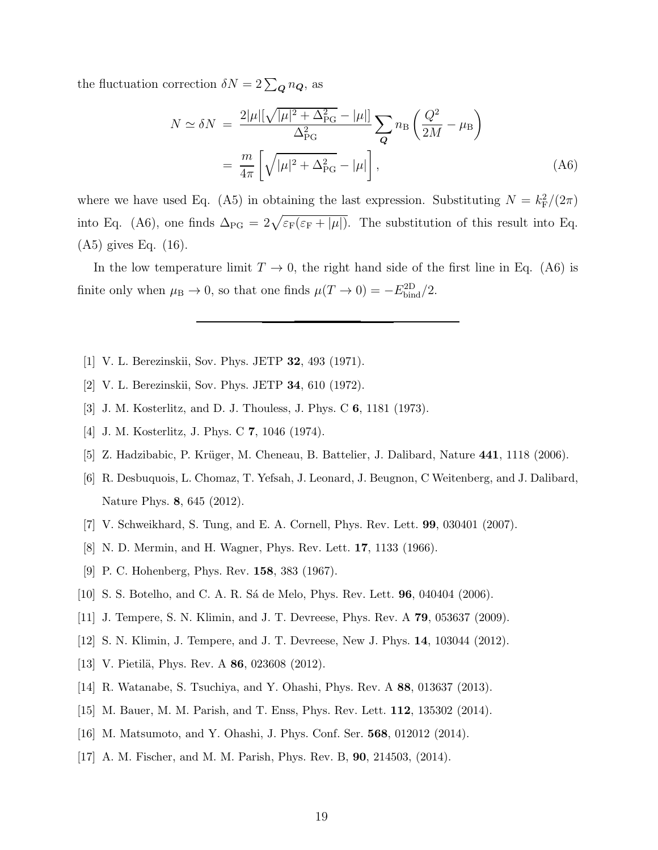the fluctuation correction  $\delta N = 2\sum_{\mathbf{Q}} n_{\mathbf{Q}}$ , as

$$
N \simeq \delta N = \frac{2|\mu|[\sqrt{|\mu|^2 + \Delta_{\rm PG}^2} - |\mu|]}{\Delta_{\rm PG}^2} \sum_{\mathbf{q}} n_{\rm B} \left(\frac{Q^2}{2M} - \mu_{\rm B}\right)
$$
  
= 
$$
\frac{m}{4\pi} \left[\sqrt{|\mu|^2 + \Delta_{\rm PG}^2} - |\mu|\right],
$$
 (A6)

where we have used Eq. (A5) in obtaining the last expression. Substituting  $N = k_F^2/(2\pi)$ into Eq. (A6), one finds  $\Delta_{PG} = 2\sqrt{\varepsilon_F(\varepsilon_F + |\mu|)}$ . The substitution of this result into Eq. (A5) gives Eq. (16).

In the low temperature limit  $T \to 0$ , the right hand side of the first line in Eq. (A6) is finite only when  $\mu_B \to 0$ , so that one finds  $\mu(T \to 0) = -E_{\text{bind}}^{\text{2D}}/2$ .

- [1] V. L. Berezinskii, Sov. Phys. JETP 32, 493 (1971).
- [2] V. L. Berezinskii, Sov. Phys. JETP 34, 610 (1972).
- [3] J. M. Kosterlitz, and D. J. Thouless, J. Phys. C 6, 1181 (1973).
- [4] J. M. Kosterlitz, J. Phys. C 7, 1046 (1974).
- [5] Z. Hadzibabic, P. Krüger, M. Cheneau, B. Battelier, J. Dalibard, Nature 441, 1118 (2006).
- [6] R. Desbuquois, L. Chomaz, T. Yefsah, J. Leonard, J. Beugnon, C Weitenberg, and J. Dalibard, Nature Phys. 8, 645 (2012).
- [7] V. Schweikhard, S. Tung, and E. A. Cornell, Phys. Rev. Lett. 99, 030401 (2007).
- [8] N. D. Mermin, and H. Wagner, Phys. Rev. Lett. 17, 1133 (1966).
- [9] P. C. Hohenberg, Phys. Rev. 158, 383 (1967).
- [10] S. S. Botelho, and C. A. R. S´a de Melo, Phys. Rev. Lett. 96, 040404 (2006).
- [11] J. Tempere, S. N. Klimin, and J. T. Devreese, Phys. Rev. A 79, 053637 (2009).
- [12] S. N. Klimin, J. Tempere, and J. T. Devreese, New J. Phys. 14, 103044 (2012).
- [13] V. Pietilä, Phys. Rev. A  $86$ , 023608 (2012).
- [14] R. Watanabe, S. Tsuchiya, and Y. Ohashi, Phys. Rev. A 88, 013637 (2013).
- [15] M. Bauer, M. M. Parish, and T. Enss, Phys. Rev. Lett. 112, 135302 (2014).
- [16] M. Matsumoto, and Y. Ohashi, J. Phys. Conf. Ser. 568, 012012 (2014).
- [17] A. M. Fischer, and M. M. Parish, Phys. Rev. B, 90, 214503, (2014).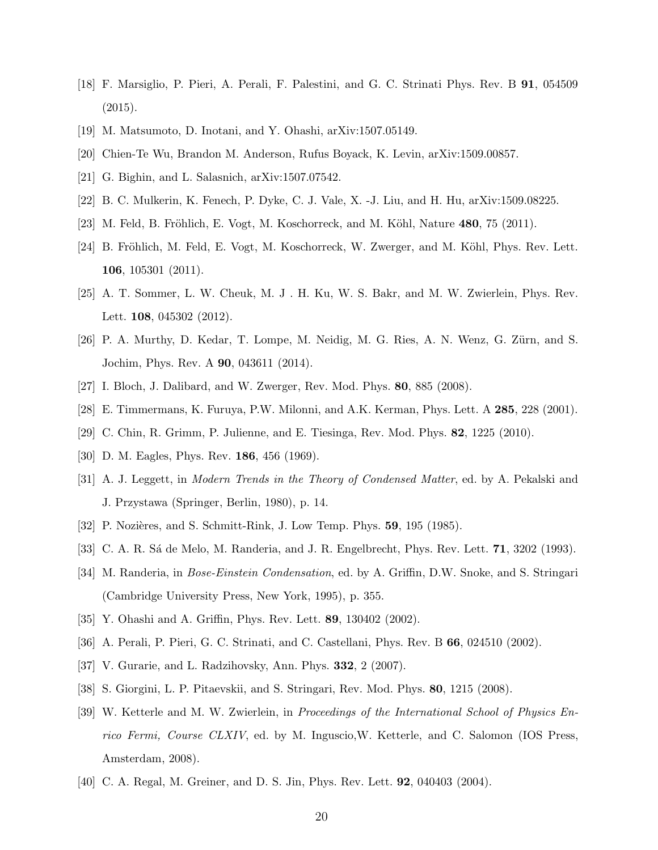- [18] F. Marsiglio, P. Pieri, A. Perali, F. Palestini, and G. C. Strinati Phys. Rev. B 91, 054509  $(2015).$
- [19] M. Matsumoto, D. Inotani, and Y. Ohashi, arXiv:1507.05149.
- [20] Chien-Te Wu, Brandon M. Anderson, Rufus Boyack, K. Levin, arXiv:1509.00857.
- [21] G. Bighin, and L. Salasnich, arXiv:1507.07542.
- [22] B. C. Mulkerin, K. Fenech, P. Dyke, C. J. Vale, X. -J. Liu, and H. Hu, arXiv:1509.08225.
- [23] M. Feld, B. Fröhlich, E. Vogt, M. Koschorreck, and M. Köhl, Nature  $480$ , 75 (2011).
- [24] B. Fröhlich, M. Feld, E. Vogt, M. Koschorreck, W. Zwerger, and M. Köhl, Phys. Rev. Lett. 106, 105301 (2011).
- [25] A. T. Sommer, L. W. Cheuk, M. J . H. Ku, W. S. Bakr, and M. W. Zwierlein, Phys. Rev. Lett. **108**, 045302 (2012).
- [26] P. A. Murthy, D. Kedar, T. Lompe, M. Neidig, M. G. Ries, A. N. Wenz, G. Zürn, and S. Jochim, Phys. Rev. A 90, 043611 (2014).
- [27] I. Bloch, J. Dalibard, and W. Zwerger, Rev. Mod. Phys. 80, 885 (2008).
- [28] E. Timmermans, K. Furuya, P.W. Milonni, and A.K. Kerman, Phys. Lett. A 285, 228 (2001).
- [29] C. Chin, R. Grimm, P. Julienne, and E. Tiesinga, Rev. Mod. Phys. 82, 1225 (2010).
- [30] D. M. Eagles, Phys. Rev. 186, 456 (1969).
- [31] A. J. Leggett, in Modern Trends in the Theory of Condensed Matter, ed. by A. Pekalski and J. Przystawa (Springer, Berlin, 1980), p. 14.
- [32] P. Nozières, and S. Schmitt-Rink, J. Low Temp. Phys. **59**, 195 (1985).
- [33] C. A. R. Sá de Melo, M. Randeria, and J. R. Engelbrecht, Phys. Rev. Lett. **71**, 3202 (1993).
- [34] M. Randeria, in *Bose-Einstein Condensation*, ed. by A. Griffin, D.W. Snoke, and S. Stringari (Cambridge University Press, New York, 1995), p. 355.
- [35] Y. Ohashi and A. Griffin, Phys. Rev. Lett. 89, 130402 (2002).
- [36] A. Perali, P. Pieri, G. C. Strinati, and C. Castellani, Phys. Rev. B 66, 024510 (2002).
- [37] V. Gurarie, and L. Radzihovsky, Ann. Phys. 332, 2 (2007).
- [38] S. Giorgini, L. P. Pitaevskii, and S. Stringari, Rev. Mod. Phys. 80, 1215 (2008).
- [39] W. Ketterle and M. W. Zwierlein, in Proceedings of the International School of Physics Enrico Fermi, Course CLXIV, ed. by M. Inguscio,W. Ketterle, and C. Salomon (IOS Press, Amsterdam, 2008).
- [40] C. A. Regal, M. Greiner, and D. S. Jin, Phys. Rev. Lett. 92, 040403 (2004).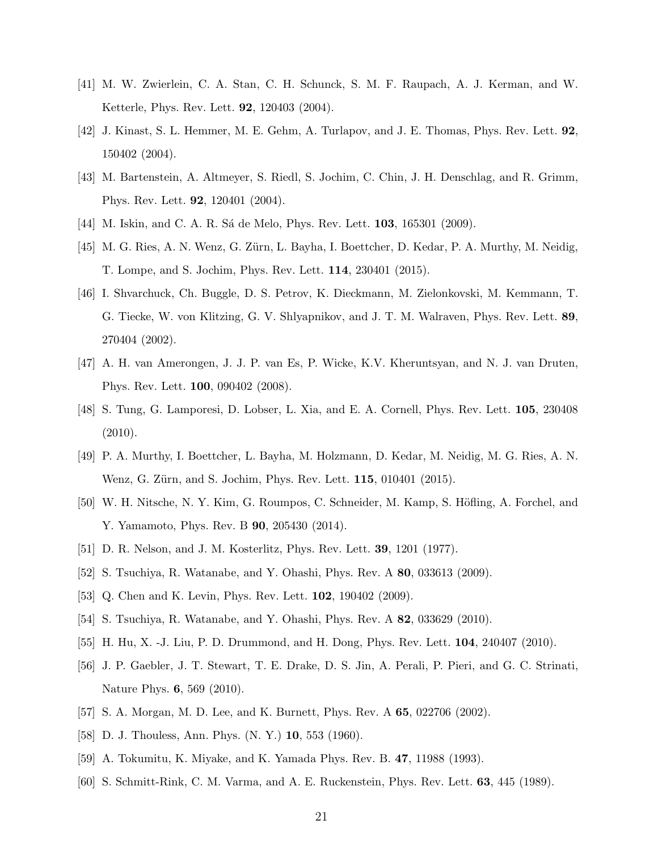- [41] M. W. Zwierlein, C. A. Stan, C. H. Schunck, S. M. F. Raupach, A. J. Kerman, and W. Ketterle, Phys. Rev. Lett. 92, 120403 (2004).
- [42] J. Kinast, S. L. Hemmer, M. E. Gehm, A. Turlapov, and J. E. Thomas, Phys. Rev. Lett. 92, 150402 (2004).
- [43] M. Bartenstein, A. Altmeyer, S. Riedl, S. Jochim, C. Chin, J. H. Denschlag, and R. Grimm, Phys. Rev. Lett. 92, 120401 (2004).
- [44] M. Iskin, and C. A. R. Sá de Melo, Phys. Rev. Lett. **103**, 165301 (2009).
- [45] M. G. Ries, A. N. Wenz, G. Zürn, L. Bayha, I. Boettcher, D. Kedar, P. A. Murthy, M. Neidig, T. Lompe, and S. Jochim, Phys. Rev. Lett. 114, 230401 (2015).
- [46] I. Shvarchuck, Ch. Buggle, D. S. Petrov, K. Dieckmann, M. Zielonkovski, M. Kemmann, T. G. Tiecke, W. von Klitzing, G. V. Shlyapnikov, and J. T. M. Walraven, Phys. Rev. Lett. 89, 270404 (2002).
- [47] A. H. van Amerongen, J. J. P. van Es, P. Wicke, K.V. Kheruntsyan, and N. J. van Druten, Phys. Rev. Lett. 100, 090402 (2008).
- [48] S. Tung, G. Lamporesi, D. Lobser, L. Xia, and E. A. Cornell, Phys. Rev. Lett. 105, 230408 (2010).
- [49] P. A. Murthy, I. Boettcher, L. Bayha, M. Holzmann, D. Kedar, M. Neidig, M. G. Ries, A. N. Wenz, G. Zürn, and S. Jochim, Phys. Rev. Lett. **115**, 010401 (2015).
- [50] W. H. Nitsche, N. Y. Kim, G. Roumpos, C. Schneider, M. Kamp, S. Höfling, A. Forchel, and Y. Yamamoto, Phys. Rev. B 90, 205430 (2014).
- [51] D. R. Nelson, and J. M. Kosterlitz, Phys. Rev. Lett. 39, 1201 (1977).
- [52] S. Tsuchiya, R. Watanabe, and Y. Ohashi, Phys. Rev. A 80, 033613 (2009).
- [53] Q. Chen and K. Levin, Phys. Rev. Lett. **102**, 190402 (2009).
- [54] S. Tsuchiya, R. Watanabe, and Y. Ohashi, Phys. Rev. A 82, 033629 (2010).
- [55] H. Hu, X. -J. Liu, P. D. Drummond, and H. Dong, Phys. Rev. Lett. 104, 240407 (2010).
- [56] J. P. Gaebler, J. T. Stewart, T. E. Drake, D. S. Jin, A. Perali, P. Pieri, and G. C. Strinati, Nature Phys. 6, 569 (2010).
- [57] S. A. Morgan, M. D. Lee, and K. Burnett, Phys. Rev. A 65, 022706 (2002).
- [58] D. J. Thouless, Ann. Phys. (N. Y.) 10, 553 (1960).
- [59] A. Tokumitu, K. Miyake, and K. Yamada Phys. Rev. B. 47, 11988 (1993).
- [60] S. Schmitt-Rink, C. M. Varma, and A. E. Ruckenstein, Phys. Rev. Lett. 63, 445 (1989).